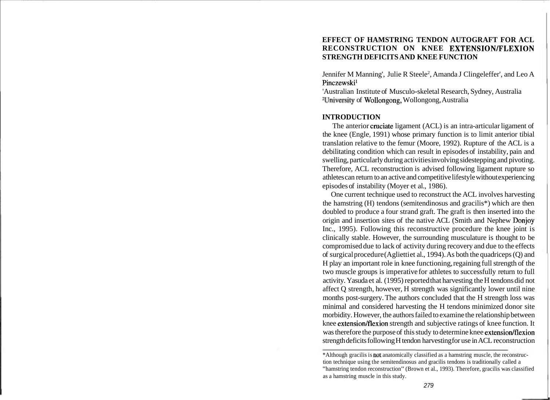# **EFFECT OF HAMSTRING TENDON AUTOGRAFT FOR ACL RECONSTRUCTION ON KNEE EXTENSIONIFLEXION STRENGTH DEFICITS AND KNEE FUNCTION**

Jennifer M Manning', Julie R Steele<sup>2</sup>, Amanda J Clingeleffer', and Leo A Pinczewskil

'Australian Institute of Musculo-skeletal Research, Sydney, Australia 2University of Wollongong, Wollongong, Australia

# **INTRODUCTION**

The anterior cruciate ligament (ACL) is an intra-articular ligament of the knee (Engle, 1991) whose primary function is to limit anterior tibial translation relative to the femur (Moore, 1992). Rupture of the ACL is a debilitating condition which can result in episodes of instability, pain and swelling, particularly during activities involving sidestepping and pivoting. Therefore, ACL reconstruction is advised following ligament rupture so athletes can return to an active and competitive lifestyle without experiencing episodes of instability (Moyer et al., 1986).

One current technique used to reconstruct the ACL involves harvesting the hamstring (H) tendons (semitendinosus and gracilis\*) which are then doubled to produce a four strand graft. The graft is then inserted into the origin and insertion sites of the native ACL (Smith and Nephew Donjoy Inc., 1995). Following this reconstructive procedure the knee joint is clinically stable. However, the surrounding musculature is thought to be compromised due to lack of activity during recovery and due to the effects of surgical procedure (Aglietti et al., 1994). As both the quadriceps  $(Q)$  and H play an important role in knee functioning, regaining full strength of the two muscle groups is imperative for athletes to successfully return to full activity. Yasuda et al. (1995) reported that harvesting the H tendons did not affect Q strength, however, H strength was significantly lower until nine months post-surgery. The authors concluded that the H strength loss was minimal and considered harvesting the H tendons minimized donor site morbidity. However, the authors failed to examine the relationship between knee extension/flexion strength and subjective ratings of knee function. It was therefore the purpose of this study to determine knee extension/flexion strength deficits following H tendon harvesting for use in ACL reconstruction

<sup>\*</sup>Although gracilis is not anatomically classified as a hamstring muscle, the reconstruction technique using the semitendinosus and gracilis tendons is traditionally called a "hamstring tendon reconstruction" (Brown et al., 1993). Therefore, gracilis was classified as a hamstring muscle in this study.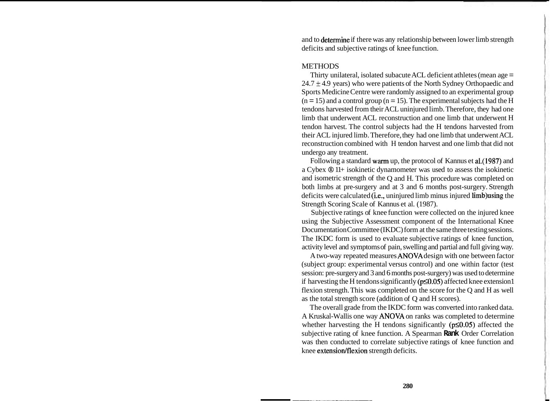and to determine if there was any relationship between lower limb strength deficits and subjective ratings of knee function.

### **METHODS**

Thirty unilateral, isolated subacute ACL deficient athletes (mean age =  $24.7 \pm 4.9$  years) who were patients of the North Sydney Orthopaedic and Sports Medicine Centre were randomly assigned to an experimental group  $(n = 15)$  and a control group  $(n = 15)$ . The experimental subjects had the H tendons harvested from their ACL uninjured limb. Therefore, they had one limb that underwent ACL reconstruction and one limb that underwent H tendon harvest. The control subjects had the H tendons harvested from their ACL injured limb. Therefore, they had one limb that underwent ACL reconstruction combined with H tendon harvest and one limb that did not undergo any treatment.

Following a standard warm up, the protocol of Kannus et a1.(1987) and a Cybex @ 11+ isokinetic dynamometer was used to assess the isokinetic and isometric strength of the Q and H. This procedure was completed on both limbs at pre-surgery and at 3 and 6 months post-surgery. Strength deficits were calculated (i.e., uninjured limb minus injured limb)using the Strength Scoring Scale of Kannus et al. (1987).

Subjective ratings of knee function were collected on the injured knee using the Subjective Assessment component of the International Knee Documentation Committee (IKDC) form at the same three testing sessions. The IKDC form is used to evaluate subjective ratings of knee function, activity level and symptoms of pain, swelling and partial and full giving way.

A two-way repeated measures ANOVA design with one between factor (subject group: experimental versus control) and one within factor (test session: pre-surgery and 3 and 6 months post-surgery) was used to determine if harvesting the H tendons significantly ( $p\leq0.05$ ) affected knee extension1 flexion strength. This was completed on the score for the Q and H as well as the total strength score (addition of Q and H scores).

The overall grade from the IKDC form was converted into ranked data. A Kruskal-Wallis one way ANOVA on ranks was completed to determine whether harvesting the H tendons significantly ( $p\leq 0.05$ ) affected the subjective rating of knee function. A Spearman **Rank** Order Correlation was then conducted to correlate subjective ratings of knee function and knee extension/flexion strength deficits.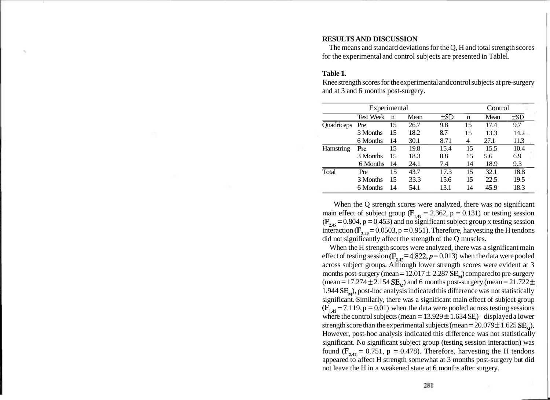## **RESULTS AND DISCUSSION**

The means and standard deviations for the Q, H and total strength scores for the experimental and control subjects are presented in Tablel.

## **Table 1.**

Knee strength scores for the experimental andcontrol subjects at pre-surgery and at 3 and 6 months post-surgery.

| Experimental |                  |             |      |          |    | Control |          |
|--------------|------------------|-------------|------|----------|----|---------|----------|
|              | <b>Test Week</b> | $\mathbf n$ | Mean | $\pm$ SD | n  | Mean    | $\pm SD$ |
| Quadriceps   | Pre              | 15          | 26.7 | 9.8      | 15 | 17.4    | 9.7      |
|              | 3 Months         | 15          | 18.2 | 8.7      | 15 | 13.3    | 14.2     |
|              | 6 Months         | 14          | 30.1 | 8.71     | 4  | 27.1    | 11.3     |
| Hamstring    | Pre              | 15          | 19.8 | 15.4     | 15 | 15.5    | 10.4     |
|              | 3 Months         | 15          | 18.3 | 8.8      | 15 | 5.6     | 6.9      |
|              | 6 Months         | 14          | 24.1 | 7.4      | 14 | 18.9    | 9.3      |
| Total        | Pre              | 15          | 43.7 | 17.3     | 15 | 32.1    | 18.8     |
|              | 3 Months         | 15          | 33.3 | 15.6     | 15 | 22.5    | 19.5     |
|              | 6 Months         | 14          | 54.1 | 13.1     | 14 | 45.9    | 18.3     |

When the Q strength scores were analyzed, there was no significant main effect of subject group ( $F_{1,49} = 2.362$ , p = 0.131) or testing session  $(F<sub>2.49</sub> = 0.804, p = 0.453)$  and no significant subject group x testing session interaction ( $F_{2,49} = 0.0503$ , p = 0.951). Therefore, harvesting the H tendons did not significantly affect the strength of the Q muscles.

When the H strength scores were analyzed, there was a significant main effect of testing session ( $F_{24}$ , = 4.822, p = 0.013) when the data were pooled across subject groups. Although lower strength scores were evident at 3 months post-surgery (mean =  $12.017 \pm 2.287$  SE<sub> $_{M}$ </sub>) compared to pre-surgery (mean = 17.274  $\pm$  2.154  $SE_{\rm M}$ ) and 6 months post-surgery (mean = 21.722  $\pm$ 1.944  $SE<sub>w</sub>$ ), post-hoc analysis indicated this difference was not statistically significant. Similarly, there was a significant main effect of subject group  $(F<sub>1.42</sub> = 7.119, p = 0.01)$  when the data were pooled across testing sessions where the control subjects (mean =  $13.929 \pm 1.634$  SE,) displayed a lower strength score than the experimental subjects (mean =  $20.079 \pm 1.625$  SE<sub> $\star$ </sub>). However, post-hoc analysis indicated this difference was not statistically significant. No significant subject group (testing session interaction) was found  $(F_{2,42} = 0.751, p = 0.478)$ . Therefore, harvesting the H tendons appeared to affect H strength somewhat at 3 months post-surgery but did not leave the H in a weakened state at 6 months after surgery.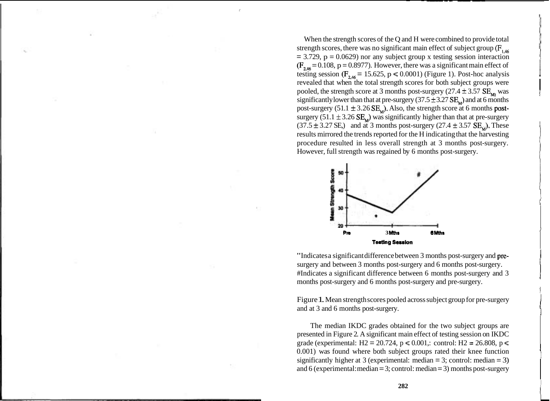When the strength scores of the Q and H were combined to provide total strength scores, there was no significant main effect of subject group  $(F_{\text{max}})$  $= 3.729$ ,  $p = 0.0629$ ) nor any subject group x testing session interaction  $(F_{2,16} = 0.108, p = 0.8977)$ . However, there was a significant main effect of testing session ( $F_{2,46}$  = 15.625, p < 0.0001) (Figure 1). Post-hoc analysis revealed that when the total strength scores for both subject groups were pooled, the strength score at 3 months post-surgery  $(27.4 \pm 3.57 \text{ SE}_{\text{M}})$  was significantly lower than that at pre-surgery  $(37.5 \pm 3.27 \text{ SE}_{\text{M}})$  and at 6 months post-surgery  $(51.1 \pm 3.26 \text{ SE}_\text{M})$ . Also, the strength score at 6 months postsurgery (51.1  $\pm$  3.26 SE<sub>M</sub>) was significantly higher than that at pre-surgery  $(37.5 \pm 3.27 \text{ SE})$  and at 3 months post-surgery  $(27.4 \pm 3.57 \text{ SE})$ . These results mirrored the trends reported for the H indicating that the harvesting procedure resulted in less overall strength at 3 months post-surgery. However, full strength was regained by 6 months post-surgery.



"Indicates a significant difference between 3 months post-surgery and presurgery and between 3 months post-surgery and 6 months post-surgery. #Indicates a significant difference between 6 months post-surgery and 3 <sup>I</sup> months post-surgery and 6 months post-surgery and pre-surgery.

Figure 1. Mean strength scores pooled across subject group for pre-surgery and at 3 and 6 months post-surgery.

The median IKDC grades obtained for the two subject groups are presented in Figure 2. A significant main effect of testing session on IKDC grade (experimental: H2 = 20.724,  $p \le 0.001$ ,: control: H2 = 26.808,  $p \le$ 0.001) was found where both subject groups rated their knee function significantly higher at 3 (experimental: median  $=$  3; control: median  $=$  3) and 6 (experimental: median  $= 3$ ; control: median  $= 3$ ) months post-surgery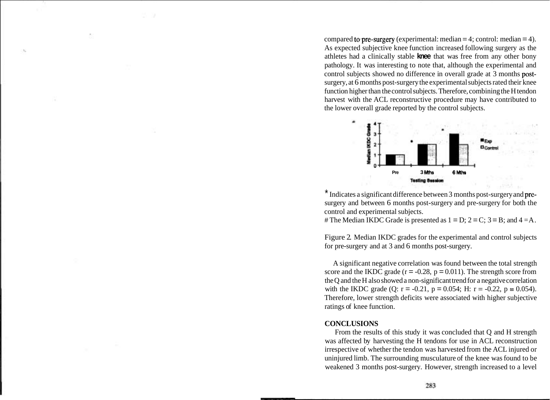compared to pre-surgery (experimental: median  $= 4$ ; control: median  $= 4$ ). As expected subjective knee function increased following surgery as the athletes had a clinically stable **knee** that was free from any other bony pathology. It was interesting to note that, although the experimental and control subjects showed no difference in overall grade at 3 months postsurgery, at 6 months post-surgery the experimental subjects rated their knee function higher than the control subjects. Therefore, combining the H tendon harvest with the ACL reconstructive procedure may have contributed to the lower overall grade reported by the control subjects.



\* Indicates a significant difference between 3 months post-surgery and presurgery and between 6 months post-surgery and pre-surgery for both the control and experimental subjects.

# The Median IKDC Grade is presented as  $1 = D$ ;  $2 = C$ ;  $3 = B$ ; and  $4 = A$ .

Figure 2. Median IKDC grades for the experimental and control subjects for pre-surgery and at 3 and 6 months post-surgery.

A significant negative correlation was found between the total strength score and the IKDC grade ( $r = -0.28$ ,  $p = 0.011$ ). The strength score from the Q and the H also showed a non-significant trend for a negative correlation with the IKDC grade (Q:  $r = -0.21$ ,  $p = 0.054$ ; H:  $r = -0.22$ ,  $p = 0.054$ ). Therefore, lower strength deficits were associated with higher subjective ratings of knee function.

#### **CONCLUSIONS**

From the results of this study it was concluded that Q and H strength was affected by harvesting the H tendons for use in ACL reconstruction irrespective of whether the tendon was harvested from the ACL injured or uninjured limb. The surrounding musculature of the knee was found to be weakened 3 months post-surgery. However, strength increased to a level